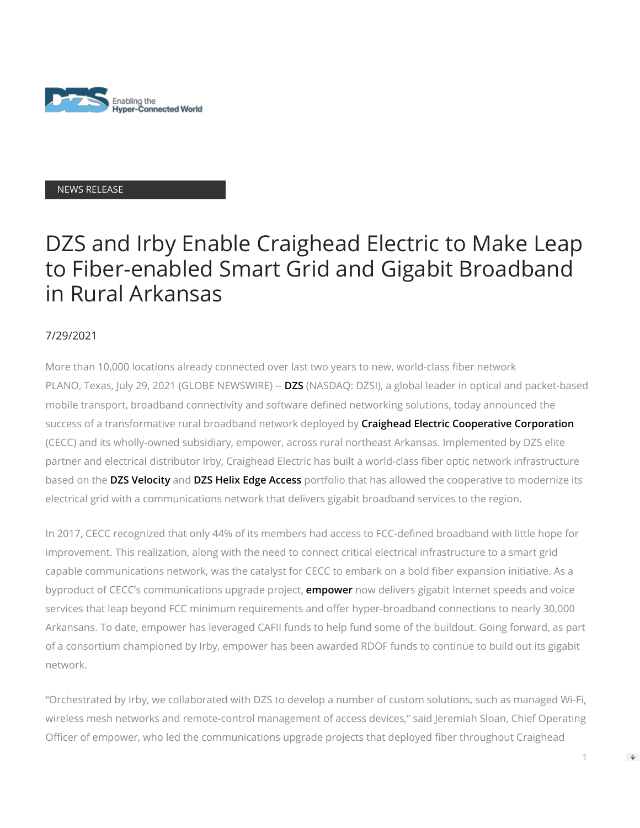

### NEWS RELEASE

# DZS and Irby Enable Craighead Electric to Make Leap to Fiber-enabled Smart Grid and Gigabit Broadband in Rural Arkansas

# 7/29/2021

More than 10,000 locations already connected over last two years to new, world-class fiber network PLANO, Texas, July 29, 2021 (GLOBE NEWSWIRE) -- **[DZS](https://www.globenewswire.com/Tracker?data=m7hYxvluQXqAte8dYlRo6D729i-Qk3IY60OB-CkVLJKpDh43skAXSGEm8RN2kDos21ekSJEFxPVi9spyVBsT7Y0Hx-Z2lbKRi7Z09ofkp1aDXC6tezfbdEvWVjlwWpdWJOIhYycHIOt8LtY8O7I-uqOmmF6KJnaKRLmwv6THPB9Lo9GpkQXsbX-vq4wZNK4SluMunhQJQjlRmU_MKDq29t97lG9IdZADxRcOZtFq4xd9OnKNVMfJdPZVNimdCfQ1)** (NASDAQ: DZSI), a global leader in optical and packet-based mobile transport, broadband connectivity and software defined networking solutions, today announced the success of a transformative rural broadband network deployed by **[Craighead Electric Cooperative Corporation](https://www.globenewswire.com/Tracker?data=ngrEj8IDMw8923POsmriwVmR8pdFbfCCbY24bvXEnDZ79polmmy9gon8yst7S3Fk4eddHHoRj5ONrl-ZHXV5Goh5BTLqU4-uP16jaQf0A9UHLPefPJf72EW0tWmqIyvuIAFMzPJ9syR-xzb24MVFho6JA_FeR-Vh6R0A3Vq93qAw-qoZymGxoFyCard17mgn)** (CECC) and its wholly-owned subsidiary, empower, across rural northeast Arkansas. Implemented by DZS elite partner and electrical distributor Irby, Craighead Electric has built a world-class fiber optic network infrastructure based on the **[DZS Velocity](https://www.globenewswire.com/Tracker?data=qqAB7lUW127S0-08FQTsuu4PMYcxTLVbYrqFTjWPYPRfn2wZsJMey9vIps8UqJPe6fzG5qReDSqFshIEECAa7Q==)** and **[DZS Helix Edge Access](https://www.globenewswire.com/Tracker?data=p8pLhOkUU2I06sc0nXNUnFEIOwLtmuhzYxTeuayg44jzU0ahv1fF36FjqQpYEg16pud4u2Nb7oGs_CK7NjpzUhNUEGK4n_sqx1j58BNnocI=)** portfolio that has allowed the cooperative to modernize its electrical grid with a communications network that delivers gigabit broadband services to the region.

In 2017, CECC recognized that only 44% of its members had access to FCC-defined broadband with little hope for improvement. This realization, along with the need to connect critical electrical infrastructure to a smart grid capable communications network, was the catalyst for CECC to embark on a bold fiber expansion initiative. As a byproduct of CECC's communications upgrade project, **[empower](https://www.globenewswire.com/Tracker?data=eaxwMMOJmYC4NlraA7fIWKw4zofVKg5H1-X3KFtW9ICQd_aXJqWqEzHLSCduC9htN-3jZ7n299f18YdNtbXNaw==)** now delivers gigabit Internet speeds and voice services that leap beyond FCC minimum requirements and offer hyper-broadband connections to nearly 30,000 Arkansans. To date, empower has leveraged CAFII funds to help fund some of the buildout. Going forward, as part of a consortium championed by Irby, empower has been awarded RDOF funds to continue to build out its gigabit network.

"Orchestrated by Irby, we collaborated with DZS to develop a number of custom solutions, such as managed Wi-Fi, wireless mesh networks and remote-control management of access devices," said Jeremiah Sloan, Chief Operating Officer of empower, who led the communications upgrade projects that deployed fiber throughout Craighead

 $\Rightarrow$ 

1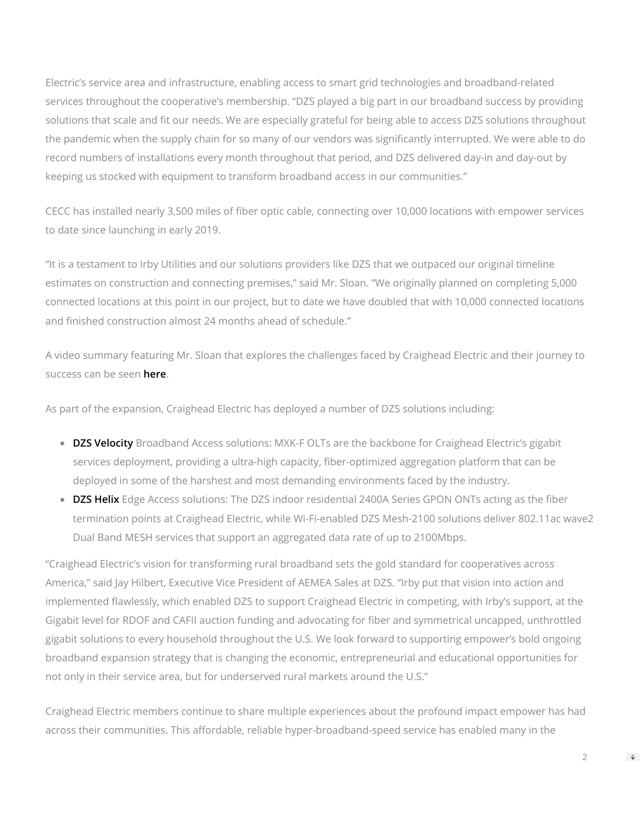Electric's service area and infrastructure, enabling access to smart grid technologies and broadband-related services throughout the cooperative's membership. "DZS played a big part in our broadband success by providing solutions that scale and fit our needs. We are especially grateful for being able to access DZS solutions throughout the pandemic when the supply chain for so many of our vendors was signicantly interrupted. We were able to do record numbers of installations every month throughout that period, and DZS delivered day-in and day-out by keeping us stocked with equipment to transform broadband access in our communities."

CECC has installed nearly 3,500 miles of fiber optic cable, connecting over 10,000 locations with empower services to date since launching in early 2019.

"It is a testament to Irby Utilities and our solutions providers like DZS that we outpaced our original timeline estimates on construction and connecting premises," said Mr. Sloan. "We originally planned on completing 5,000 connected locations at this point in our project, but to date we have doubled that with 10,000 connected locations and finished construction almost 24 months ahead of schedule."

A video summary featuring Mr. Sloan that explores the challenges faced by Craighead Electric and their journey to success can be seen **[here](https://www.globenewswire.com/Tracker?data=vUux3-IkOntKO-CbSLUHuCKX-IoBt9mXuhvcmAdJ4dUuF9zwupfzFA3k1DXg0bedHdcdtv0EPriJJVqNtppgyw==)**.

As part of the expansion, Craighead Electric has deployed a number of DZS solutions including:

- **[DZS Velocity](https://dzsi.com/fttx/)** Broadband Access solutions: MXK-F OLTs are the backbone for Craighead Electric's gigabit services deployment, providing a ultra-high capacity, fiber-optimized aggregation platform that can be deployed in some of the harshest and most demanding environments faced by the industry.
- [DZS Helix](https://dzsi.com/smart-gateways/) Edge Access solutions: The DZS indoor residential 2400A Series GPON ONTs acting as the fiber termination points at Craighead Electric, while Wi-Fi-enabled DZS Mesh-2100 solutions deliver 802.11ac wave2 Dual Band MESH services that support an aggregated data rate of up to 2100Mbps.

"Craighead Electric's vision for transforming rural broadband sets the gold standard for cooperatives across America," said Jay Hilbert, Executive Vice President of AEMEA Sales at DZS. "Irby put that vision into action and implemented flawlessly, which enabled DZS to support Craighead Electric in competing, with Irby's support, at the Gigabit level for RDOF and CAFII auction funding and advocating for fiber and symmetrical uncapped, unthrottled gigabit solutions to every household throughout the U.S. We look forward to supporting empower's bold ongoing broadband expansion strategy that is changing the economic, entrepreneurial and educational opportunities for not only in their service area, but for underserved rural markets around the U.S."

Craighead Electric members continue to share multiple experiences about the profound impact empower has had across their communities. This affordable, reliable hyper-broadband-speed service has enabled many in the

2

 $\Rightarrow$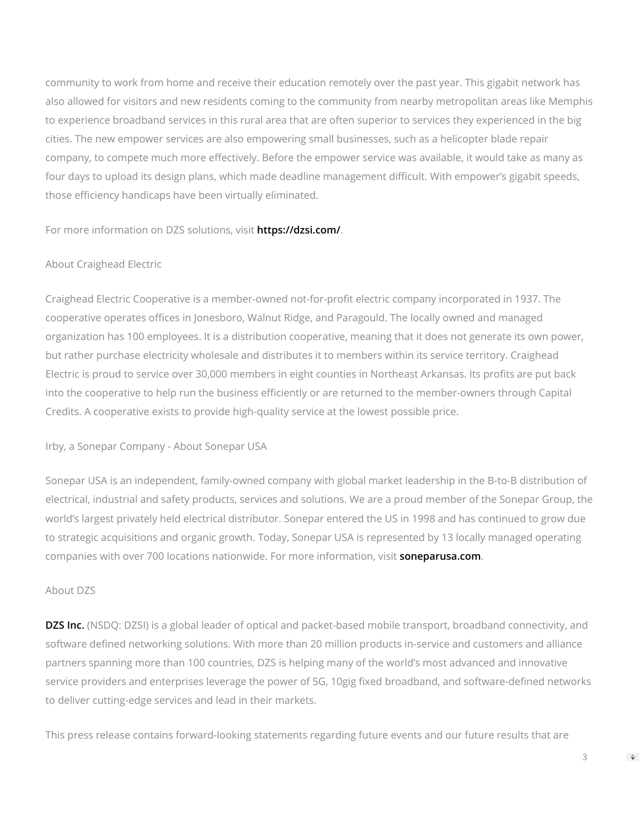community to work from home and receive their education remotely over the past year. This gigabit network has also allowed for visitors and new residents coming to the community from nearby metropolitan areas like Memphis to experience broadband services in this rural area that are often superior to services they experienced in the big cities. The new empower services are also empowering small businesses, such as a helicopter blade repair company, to compete much more effectively. Before the empower service was available, it would take as many as four days to upload its design plans, which made deadline management difficult. With empower's gigabit speeds, those efficiency handicaps have been virtually eliminated.

For more information on DZS solutions, visit **[https://dzsi.com/](https://www.globenewswire.com/Tracker?data=9C-kfdPYMfRf_TXh4UakIJ3t-7Oc4iBD5TA69K41D06mZ6vxoor3sWQnnaelWX0OOg-P8ahsnOKV4ZVNIB2pow==)**.

## About Craighead Electric

Craighead Electric Cooperative is a member-owned not-for-profit electric company incorporated in 1937. The cooperative operates offices in Jonesboro, Walnut Ridge, and Paragould. The locally owned and managed organization has 100 employees. It is a distribution cooperative, meaning that it does not generate its own power, but rather purchase electricity wholesale and distributes it to members within its service territory. Craighead Electric is proud to service over 30,000 members in eight counties in Northeast Arkansas. Its profits are put back into the cooperative to help run the business efficiently or are returned to the member-owners through Capital Credits. A cooperative exists to provide high-quality service at the lowest possible price.

Irby, a Sonepar Company - About Sonepar USA

Sonepar USA is an independent, family-owned company with global market leadership in the B-to-B distribution of electrical, industrial and safety products, services and solutions. We are a proud member of the Sonepar Group, the world's largest privately held electrical distributor. Sonepar entered the US in 1998 and has continued to grow due to strategic acquisitions and organic growth. Today, Sonepar USA is represented by 13 locally managed operating companies with over 700 locations nationwide. For more information, visit **[soneparusa.com](http://soneparusa.com/)**.

#### About DZS

**[DZS Inc.](https://www.globenewswire.com/Tracker?data=my2jmPFFnkeuT5M7kUQcqwzHbSSYEQk2dGuMtKyPPKO4tEixZtCmPB6iTJrmGyCfPkHnLbdHofmFzGsf14LMQusO3jawVp1DUqQJyPNZsHivkl1k2d2mYU1d3vjEyi-UscBZs66dUQ8ieJKIFaiuEEl_f6fBlSD1LipGfi6DVhXMw3GiiLQUAeL_i_IBW953kL2rS6hf3Qi6RA2KCDd_CL02mirCqvLoBbM5njdKtTMvZowpImuqOmTedqBpLGR7DeASQUZMQuDuHSxsVCTbhA==)** (NSDQ: DZSI) is a global leader of optical and packet-based mobile transport, broadband connectivity, and software defined networking solutions. With more than 20 million products in-service and customers and alliance partners spanning more than 100 countries, DZS is helping many of the world's most advanced and innovative service providers and enterprises leverage the power of 5G, 10gig fixed broadband, and software-defined networks to deliver cutting-edge services and lead in their markets.

This press release contains forward-looking statements regarding future events and our future results that are

3

 $\Rightarrow$